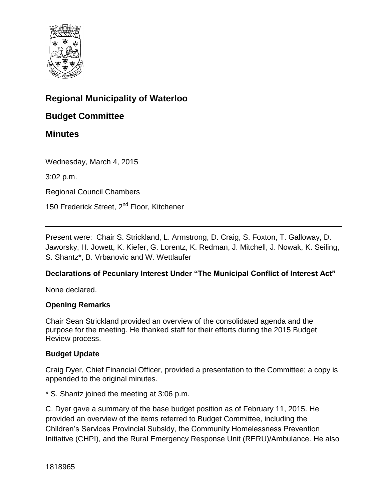

### **Regional Municipality of Waterloo**

### **Budget Committee**

### **Minutes**

Wednesday, March 4, 2015

3:02 p.m.

Regional Council Chambers

150 Frederick Street, 2<sup>nd</sup> Floor, Kitchener

Present were: Chair S. Strickland, L. Armstrong, D. Craig, S. Foxton, T. Galloway, D. Jaworsky, H. Jowett, K. Kiefer, G. Lorentz, K. Redman, J. Mitchell, J. Nowak, K. Seiling, S. Shantz\*, B. Vrbanovic and W. Wettlaufer

#### **Declarations of Pecuniary Interest Under "The Municipal Conflict of Interest Act"**

None declared.

#### **Opening Remarks**

Chair Sean Strickland provided an overview of the consolidated agenda and the purpose for the meeting. He thanked staff for their efforts during the 2015 Budget Review process.

#### **Budget Update**

Craig Dyer, Chief Financial Officer, provided a presentation to the Committee; a copy is appended to the original minutes.

\* S. Shantz joined the meeting at 3:06 p.m.

C. Dyer gave a summary of the base budget position as of February 11, 2015. He provided an overview of the items referred to Budget Committee, including the Children's Services Provincial Subsidy, the Community Homelessness Prevention Initiative (CHPI), and the Rural Emergency Response Unit (RERU)/Ambulance. He also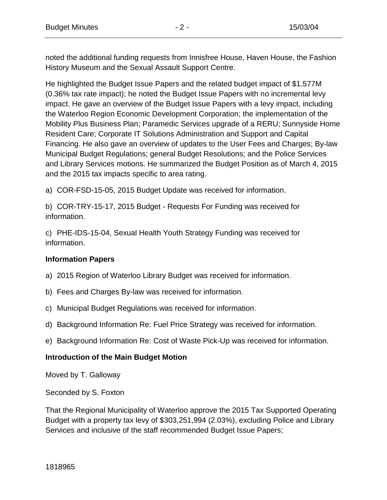noted the additional funding requests from Innisfree House, Haven House, the Fashion History Museum and the Sexual Assault Support Centre.

He highlighted the Budget Issue Papers and the related budget impact of \$1.577M (0.36% tax rate impact); he noted the Budget Issue Papers with no incremental levy impact. He gave an overview of the Budget Issue Papers with a levy impact, including the Waterloo Region Economic Development Corporation; the implementation of the Mobility Plus Business Plan; Paramedic Services upgrade of a RERU; Sunnyside Home Resident Care; Corporate IT Solutions Administration and Support and Capital Financing. He also gave an overview of updates to the User Fees and Charges; By-law Municipal Budget Regulations; general Budget Resolutions; and the Police Services and Library Services motions. He summarized the Budget Position as of March 4, 2015 and the 2015 tax impacts specific to area rating.

a) COR-FSD-15-05, 2015 Budget Update was received for information.

b) COR-TRY-15-17, 2015 Budget - Requests For Funding was received for information.

c) PHE-IDS-15-04, Sexual Health Youth Strategy Funding was received for information.

#### **Information Papers**

- a) 2015 Region of Waterloo Library Budget was received for information.
- b) Fees and Charges By-law was received for information.
- c) Municipal Budget Regulations was received for information.
- d) Background Information Re: Fuel Price Strategy was received for information.
- e) Background Information Re: Cost of Waste Pick-Up was received for information.

#### **Introduction of the Main Budget Motion**

Moved by T. Galloway

Seconded by S. Foxton

That the Regional Municipality of Waterloo approve the 2015 Tax Supported Operating Budget with a property tax levy of \$303,251,994 (2.03%), excluding Police and Library Services and inclusive of the staff recommended Budget Issue Papers;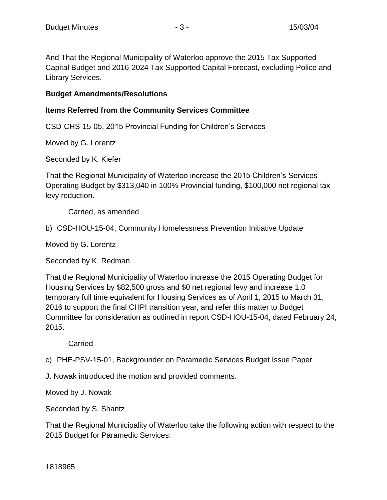And That the Regional Municipality of Waterloo approve the 2015 Tax Supported Capital Budget and 2016-2024 Tax Supported Capital Forecast, excluding Police and Library Services.

#### **Budget Amendments/Resolutions**

### **Items Referred from the Community Services Committee**

CSD-CHS-15-05, 2015 Provincial Funding for Children's Services

Moved by G. Lorentz

Seconded by K. Kiefer

That the Regional Municipality of Waterloo increase the 2015 Children's Services Operating Budget by \$313,040 in 100% Provincial funding, \$100,000 net regional tax levy reduction.

Carried, as amended

b) CSD-HOU-15-04, Community Homelessness Prevention Initiative Update

Moved by G. Lorentz

Seconded by K. Redman

That the Regional Municipality of Waterloo increase the 2015 Operating Budget for Housing Services by \$82,500 gross and \$0 net regional levy and increase 1.0 temporary full time equivalent for Housing Services as of April 1, 2015 to March 31, 2016 to support the final CHPI transition year, and refer this matter to Budget Committee for consideration as outlined in report CSD-HOU-15-04, dated February 24, 2015.

Carried

c) PHE-PSV-15-01, Backgrounder on Paramedic Services Budget Issue Paper

J. Nowak introduced the motion and provided comments.

Moved by J. Nowak

Seconded by S. Shantz

That the Regional Municipality of Waterloo take the following action with respect to the 2015 Budget for Paramedic Services: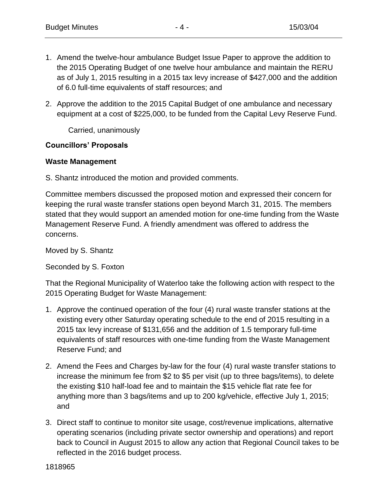- 1. Amend the twelve-hour ambulance Budget Issue Paper to approve the addition to the 2015 Operating Budget of one twelve hour ambulance and maintain the RERU as of July 1, 2015 resulting in a 2015 tax levy increase of \$427,000 and the addition of 6.0 full-time equivalents of staff resources; and
- 2. Approve the addition to the 2015 Capital Budget of one ambulance and necessary equipment at a cost of \$225,000, to be funded from the Capital Levy Reserve Fund.

Carried, unanimously

#### **Councillors' Proposals**

#### **Waste Management**

S. Shantz introduced the motion and provided comments.

Committee members discussed the proposed motion and expressed their concern for keeping the rural waste transfer stations open beyond March 31, 2015. The members stated that they would support an amended motion for one-time funding from the Waste Management Reserve Fund. A friendly amendment was offered to address the concerns.

Moved by S. Shantz

Seconded by S. Foxton

That the Regional Municipality of Waterloo take the following action with respect to the 2015 Operating Budget for Waste Management:

- 1. Approve the continued operation of the four (4) rural waste transfer stations at the existing every other Saturday operating schedule to the end of 2015 resulting in a 2015 tax levy increase of \$131,656 and the addition of 1.5 temporary full-time equivalents of staff resources with one-time funding from the Waste Management Reserve Fund; and
- 2. Amend the Fees and Charges by-law for the four (4) rural waste transfer stations to increase the minimum fee from \$2 to \$5 per visit (up to three bags/items), to delete the existing \$10 half-load fee and to maintain the \$15 vehicle flat rate fee for anything more than 3 bags/items and up to 200 kg/vehicle, effective July 1, 2015; and
- 3. Direct staff to continue to monitor site usage, cost/revenue implications, alternative operating scenarios (including private sector ownership and operations) and report back to Council in August 2015 to allow any action that Regional Council takes to be reflected in the 2016 budget process.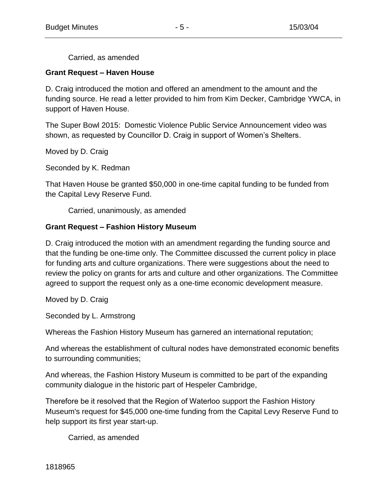Carried, as amended

#### **Grant Request – Haven House**

D. Craig introduced the motion and offered an amendment to the amount and the funding source. He read a letter provided to him from Kim Decker, Cambridge YWCA, in support of Haven House.

The Super Bowl 2015: Domestic Violence Public Service Announcement video was shown, as requested by Councillor D. Craig in support of Women's Shelters.

Moved by D. Craig

Seconded by K. Redman

That Haven House be granted \$50,000 in one-time capital funding to be funded from the Capital Levy Reserve Fund.

Carried, unanimously, as amended

### **Grant Request – Fashion History Museum**

D. Craig introduced the motion with an amendment regarding the funding source and that the funding be one-time only. The Committee discussed the current policy in place for funding arts and culture organizations. There were suggestions about the need to review the policy on grants for arts and culture and other organizations. The Committee agreed to support the request only as a one-time economic development measure.

Moved by D. Craig

Seconded by L. Armstrong

Whereas the Fashion History Museum has garnered an international reputation;

And whereas the establishment of cultural nodes have demonstrated economic benefits to surrounding communities;

And whereas, the Fashion History Museum is committed to be part of the expanding community dialogue in the historic part of Hespeler Cambridge,

Therefore be it resolved that the Region of Waterloo support the Fashion History Museum's request for \$45,000 one-time funding from the Capital Levy Reserve Fund to help support its first year start-up.

Carried, as amended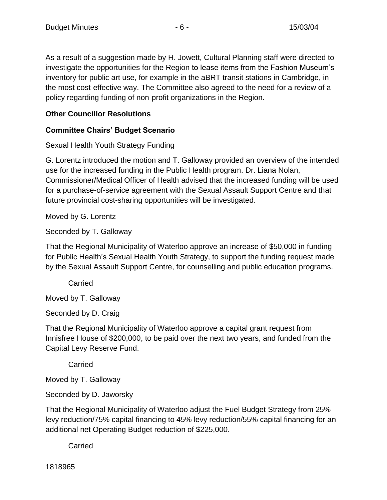As a result of a suggestion made by H. Jowett, Cultural Planning staff were directed to investigate the opportunities for the Region to lease items from the Fashion Museum's inventory for public art use, for example in the aBRT transit stations in Cambridge, in the most cost-effective way. The Committee also agreed to the need for a review of a policy regarding funding of non-profit organizations in the Region.

### **Other Councillor Resolutions**

#### **Committee Chairs' Budget Scenario**

Sexual Health Youth Strategy Funding

G. Lorentz introduced the motion and T. Galloway provided an overview of the intended use for the increased funding in the Public Health program. Dr. Liana Nolan, Commissioner/Medical Officer of Health advised that the increased funding will be used for a purchase-of-service agreement with the Sexual Assault Support Centre and that future provincial cost-sharing opportunities will be investigated.

Moved by G. Lorentz

Seconded by T. Galloway

That the Regional Municipality of Waterloo approve an increase of \$50,000 in funding for Public Health's Sexual Health Youth Strategy, to support the funding request made by the Sexual Assault Support Centre, for counselling and public education programs.

**Carried** 

Moved by T. Galloway

Seconded by D. Craig

That the Regional Municipality of Waterloo approve a capital grant request from Innisfree House of \$200,000, to be paid over the next two years, and funded from the Capital Levy Reserve Fund.

Carried

Moved by T. Galloway

Seconded by D. Jaworsky

That the Regional Municipality of Waterloo adjust the Fuel Budget Strategy from 25% levy reduction/75% capital financing to 45% levy reduction/55% capital financing for an additional net Operating Budget reduction of \$225,000.

Carried

1818965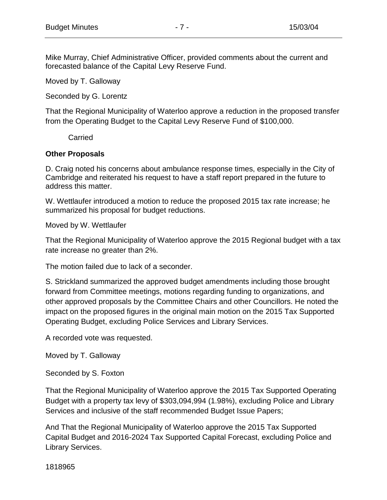Mike Murray, Chief Administrative Officer, provided comments about the current and forecasted balance of the Capital Levy Reserve Fund.

Moved by T. Galloway

Seconded by G. Lorentz

That the Regional Municipality of Waterloo approve a reduction in the proposed transfer from the Operating Budget to the Capital Levy Reserve Fund of \$100,000.

Carried

#### **Other Proposals**

D. Craig noted his concerns about ambulance response times, especially in the City of Cambridge and reiterated his request to have a staff report prepared in the future to address this matter.

W. Wettlaufer introduced a motion to reduce the proposed 2015 tax rate increase; he summarized his proposal for budget reductions.

Moved by W. Wettlaufer

That the Regional Municipality of Waterloo approve the 2015 Regional budget with a tax rate increase no greater than 2%.

The motion failed due to lack of a seconder.

S. Strickland summarized the approved budget amendments including those brought forward from Committee meetings, motions regarding funding to organizations, and other approved proposals by the Committee Chairs and other Councillors. He noted the impact on the proposed figures in the original main motion on the 2015 Tax Supported Operating Budget, excluding Police Services and Library Services.

A recorded vote was requested.

Moved by T. Galloway

Seconded by S. Foxton

That the Regional Municipality of Waterloo approve the 2015 Tax Supported Operating Budget with a property tax levy of \$303,094,994 (1.98%), excluding Police and Library Services and inclusive of the staff recommended Budget Issue Papers;

And That the Regional Municipality of Waterloo approve the 2015 Tax Supported Capital Budget and 2016-2024 Tax Supported Capital Forecast, excluding Police and Library Services.

1818965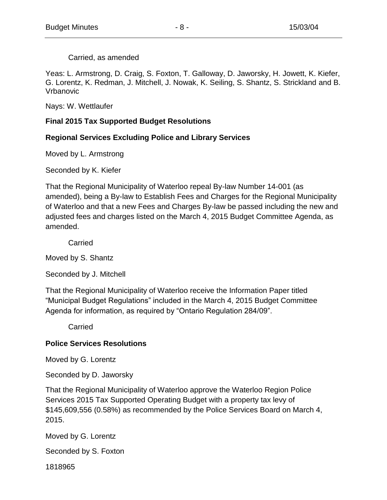Carried, as amended

Yeas: L. Armstrong, D. Craig, S. Foxton, T. Galloway, D. Jaworsky, H. Jowett, K. Kiefer, G. Lorentz, K. Redman, J. Mitchell, J. Nowak, K. Seiling, S. Shantz, S. Strickland and B. Vrbanovic

Nays: W. Wettlaufer

#### **Final 2015 Tax Supported Budget Resolutions**

#### **Regional Services Excluding Police and Library Services**

Moved by L. Armstrong

Seconded by K. Kiefer

That the Regional Municipality of Waterloo repeal By-law Number 14-001 (as amended), being a By-law to Establish Fees and Charges for the Regional Municipality of Waterloo and that a new Fees and Charges By-law be passed including the new and adjusted fees and charges listed on the March 4, 2015 Budget Committee Agenda, as amended.

**Carried** 

Moved by S. Shantz

Seconded by J. Mitchell

That the Regional Municipality of Waterloo receive the Information Paper titled "Municipal Budget Regulations" included in the March 4, 2015 Budget Committee Agenda for information, as required by "Ontario Regulation 284/09".

**Carried** 

#### **Police Services Resolutions**

Moved by G. Lorentz

Seconded by D. Jaworsky

That the Regional Municipality of Waterloo approve the Waterloo Region Police Services 2015 Tax Supported Operating Budget with a property tax levy of \$145,609,556 (0.58%) as recommended by the Police Services Board on March 4, 2015.

Moved by G. Lorentz

Seconded by S. Foxton

1818965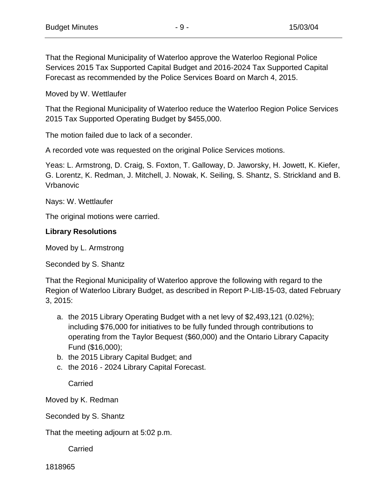That the Regional Municipality of Waterloo approve the Waterloo Regional Police Services 2015 Tax Supported Capital Budget and 2016-2024 Tax Supported Capital Forecast as recommended by the Police Services Board on March 4, 2015.

Moved by W. Wettlaufer

That the Regional Municipality of Waterloo reduce the Waterloo Region Police Services 2015 Tax Supported Operating Budget by \$455,000.

The motion failed due to lack of a seconder.

A recorded vote was requested on the original Police Services motions.

Yeas: L. Armstrong, D. Craig, S. Foxton, T. Galloway, D. Jaworsky, H. Jowett, K. Kiefer, G. Lorentz, K. Redman, J. Mitchell, J. Nowak, K. Seiling, S. Shantz, S. Strickland and B. Vrbanovic

Nays: W. Wettlaufer

The original motions were carried.

### **Library Resolutions**

Moved by L. Armstrong

Seconded by S. Shantz

That the Regional Municipality of Waterloo approve the following with regard to the Region of Waterloo Library Budget, as described in Report P-LIB-15-03, dated February 3, 2015:

- a. the 2015 Library Operating Budget with a net levy of \$2,493,121 (0.02%); including \$76,000 for initiatives to be fully funded through contributions to operating from the Taylor Bequest (\$60,000) and the Ontario Library Capacity Fund (\$16,000);
- b. the 2015 Library Capital Budget; and
- c. the 2016 2024 Library Capital Forecast.

**Carried** 

Moved by K. Redman

Seconded by S. Shantz

That the meeting adjourn at 5:02 p.m.

Carried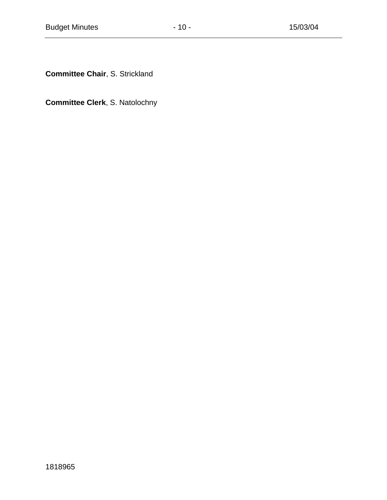**Committee Chair**, S. Strickland

**Committee Clerk**, S. Natolochny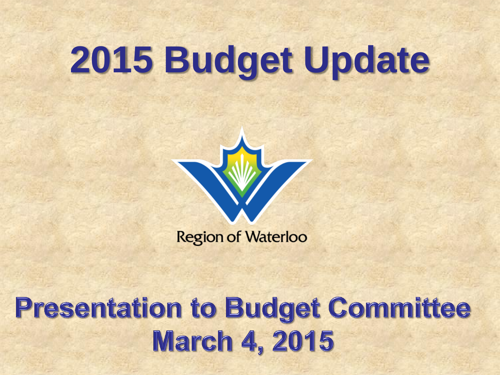# **2015 Budget Update**



**Region of Waterloo** 

### **Presentation to Budget Committee March 4, 2015**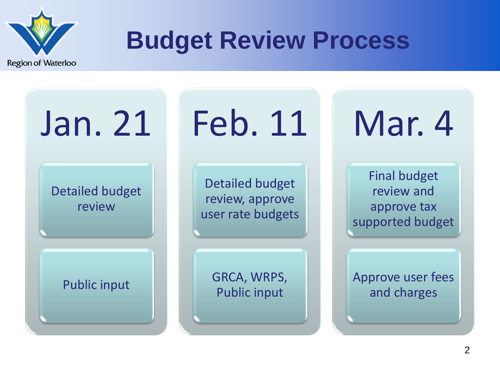

### **Budget Review Process**

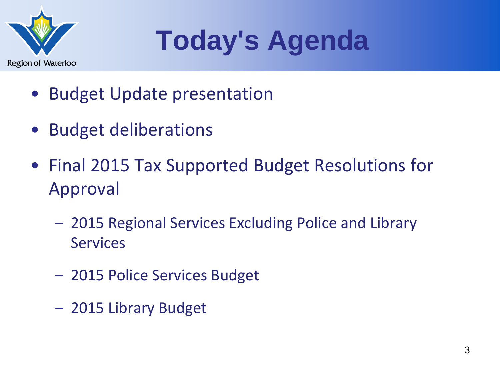

## **Today's Agenda**

- **Budget Update presentation**
- Budget deliberations
- Final 2015 Tax Supported Budget Resolutions for Approval
	- 2015 Regional Services Excluding Police and Library **Services**
	- 2015 Police Services Budget
	- 2015 Library Budget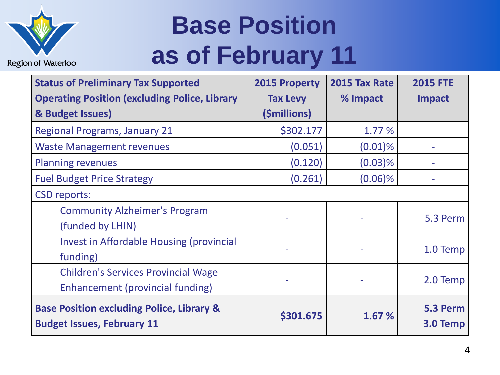

### **Base Position as of February 11**

| <b>Status of Preliminary Tax Supported</b>                                                | 2015 Property   | 2015 Tax Rate | <b>2015 FTE</b>      |
|-------------------------------------------------------------------------------------------|-----------------|---------------|----------------------|
| <b>Operating Position (excluding Police, Library</b>                                      | <b>Tax Levy</b> | % Impact      | <b>Impact</b>        |
| & Budget Issues)                                                                          | (\$millions)    |               |                      |
| <b>Regional Programs, January 21</b>                                                      | \$302.177       | 1.77 %        |                      |
| <b>Waste Management revenues</b>                                                          | (0.051)         | $(0.01)\%$    |                      |
| <b>Planning revenues</b>                                                                  | (0.120)         | $(0.03)$ %    |                      |
| <b>Fuel Budget Price Strategy</b>                                                         | (0.261)         | $(0.06)\%$    |                      |
| <b>CSD reports:</b>                                                                       |                 |               |                      |
| <b>Community Alzheimer's Program</b>                                                      |                 |               |                      |
| (funded by LHIN)                                                                          |                 |               | 5.3 Perm             |
| <b>Invest in Affordable Housing (provincial</b>                                           |                 |               | 1.0 Temp             |
| funding)                                                                                  |                 |               |                      |
| <b>Children's Services Provincial Wage</b>                                                |                 |               |                      |
| Enhancement (provincial funding)                                                          |                 |               | 2.0 Temp             |
| <b>Base Position excluding Police, Library &amp;</b><br><b>Budget Issues, February 11</b> | \$301.675       | 1.67 %        | 5.3 Perm<br>3.0 Temp |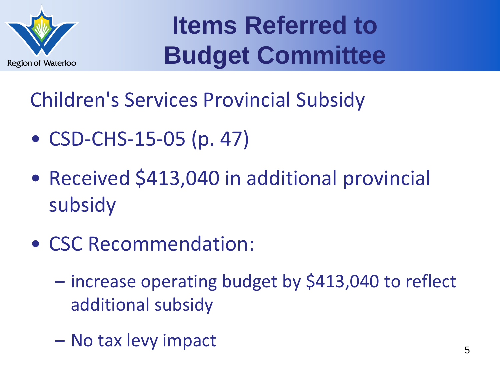

Children's Services Provincial Subsidy

- CSD-CHS-15-05 (p. 47)
- Received \$413,040 in additional provincial subsidy
- CSC Recommendation:
	- increase operating budget by \$413,040 to reflect additional subsidy
	- No tax levy impact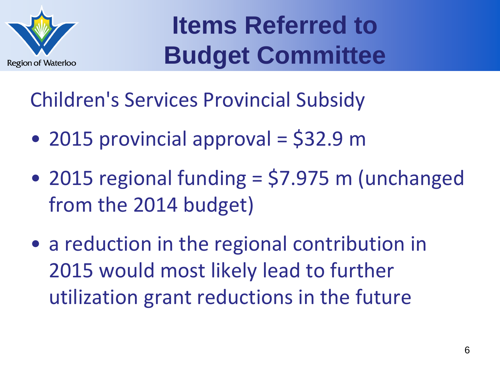

Children's Services Provincial Subsidy

- 2015 provincial approval = \$32.9 m
- 2015 regional funding = \$7.975 m (unchanged from the 2014 budget)
- a reduction in the regional contribution in 2015 would most likely lead to further utilization grant reductions in the future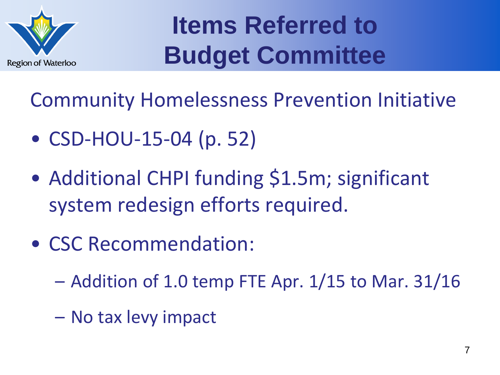

Community Homelessness Prevention Initiative

- CSD-HOU-15-04 (p. 52)
- Additional CHPI funding \$1.5m; significant system redesign efforts required.
- CSC Recommendation:
	- Addition of 1.0 temp FTE Apr. 1/15 to Mar. 31/16
	- No tax levy impact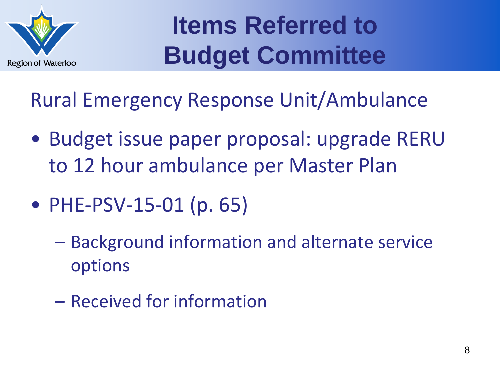

Rural Emergency Response Unit/Ambulance

- Budget issue paper proposal: upgrade RERU to 12 hour ambulance per Master Plan
- PHE-PSV-15-01 (p. 65)
	- Background information and alternate service options
	- Received for information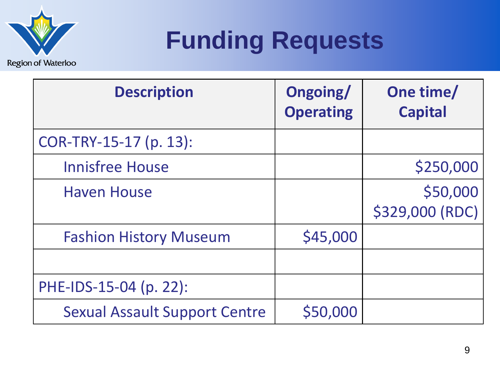

### **Funding Requests**

| <b>Description</b>                   | Ongoing/<br><b>Operating</b> | One time/<br><b>Capital</b> |
|--------------------------------------|------------------------------|-----------------------------|
| COR-TRY-15-17 (p. 13):               |                              |                             |
| <b>Innisfree House</b>               |                              | \$250,000                   |
| <b>Haven House</b>                   |                              | \$50,000<br>\$329,000 (RDC) |
| <b>Fashion History Museum</b>        | \$45,000                     |                             |
|                                      |                              |                             |
| PHE-IDS-15-04 (p. 22):               |                              |                             |
| <b>Sexual Assault Support Centre</b> | \$50,000                     |                             |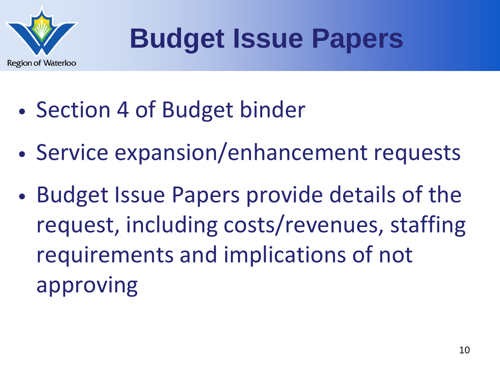

- Section 4 of Budget binder
- Service expansion/enhancement requests
- Budget Issue Papers provide details of the request, including costs/revenues, staffing requirements and implications of not approving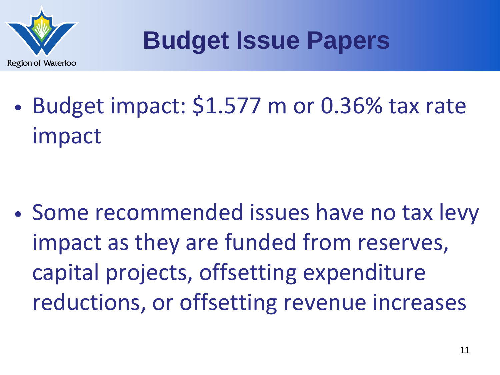

• Budget impact: \$1.577 m or 0.36% tax rate impact

• Some recommended issues have no tax levy impact as they are funded from reserves, capital projects, offsetting expenditure reductions, or offsetting revenue increases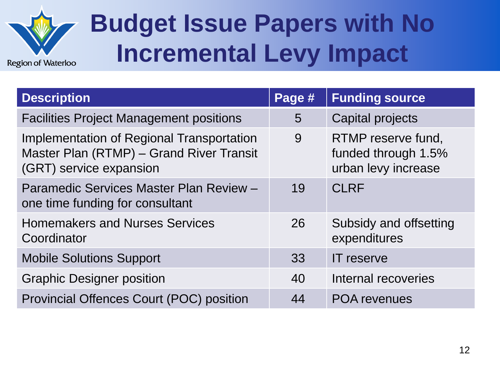

### **Budget Issue Papers with No Incremental Levy Impact**

| <b>Description</b>                                                                                               | Page # | <b>Funding source</b>                                            |
|------------------------------------------------------------------------------------------------------------------|--------|------------------------------------------------------------------|
| <b>Facilities Project Management positions</b>                                                                   | 5      | Capital projects                                                 |
| Implementation of Regional Transportation<br>Master Plan (RTMP) - Grand River Transit<br>(GRT) service expansion | 9      | RTMP reserve fund,<br>funded through 1.5%<br>urban levy increase |
| Paramedic Services Master Plan Review -<br>one time funding for consultant                                       | 19     | <b>CLRF</b>                                                      |
| <b>Homemakers and Nurses Services</b><br>Coordinator                                                             | 26     | Subsidy and offsetting<br>expenditures                           |
| <b>Mobile Solutions Support</b>                                                                                  | 33     | <b>IT</b> reserve                                                |
| <b>Graphic Designer position</b>                                                                                 | 40     | Internal recoveries                                              |
| <b>Provincial Offences Court (POC) position</b>                                                                  | 44     | <b>POA revenues</b>                                              |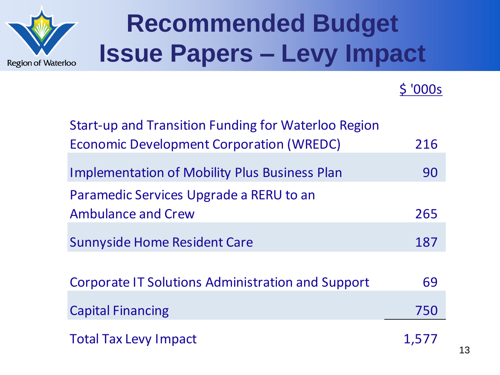

### **Recommended Budget Issue Papers – Levy Impact**

### \$ '000s

| <b>Start-up and Transition Funding for Waterloo Region</b> |       |
|------------------------------------------------------------|-------|
| <b>Economic Development Corporation (WREDC)</b>            | 216   |
|                                                            |       |
| <b>Implementation of Mobility Plus Business Plan</b>       | 90    |
| Paramedic Services Upgrade a RERU to an                    |       |
| <b>Ambulance and Crew</b>                                  | 265   |
|                                                            |       |
| <b>Sunnyside Home Resident Care</b>                        | 187   |
|                                                            |       |
| Corporate IT Solutions Administration and Support          | 69    |
| <b>Capital Financing</b>                                   | 750   |
|                                                            |       |
| <b>Total Tax Levy Impact</b>                               | 1,577 |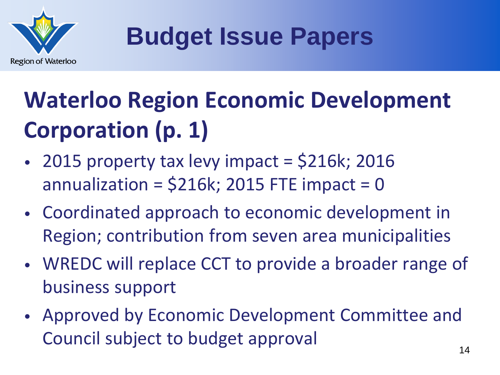

### **Waterloo Region Economic Development Corporation (p. 1)**

- 2015 property tax levy impact = \$216k; 2016 annualization =  $$216k; 2015$  FTE impact = 0
- Coordinated approach to economic development in Region; contribution from seven area municipalities
- WREDC will replace CCT to provide a broader range of business support
- Approved by Economic Development Committee and Council subject to budget approval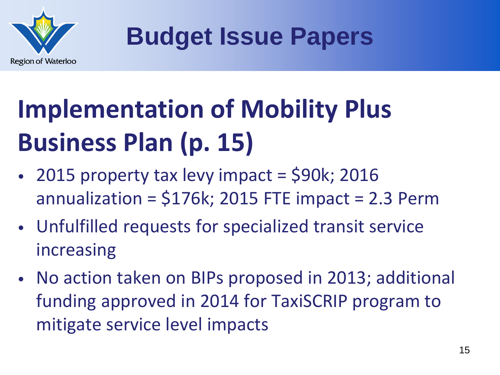

## **Implementation of Mobility Plus Business Plan (p. 15)**

- 2015 property tax levy impact  $=$  \$90k; 2016 annualization =  $$176k$ ; 2015 FTE impact = 2.3 Perm
- Unfulfilled requests for specialized transit service increasing
- No action taken on BIPs proposed in 2013; additional funding approved in 2014 for TaxiSCRIP program to mitigate service level impacts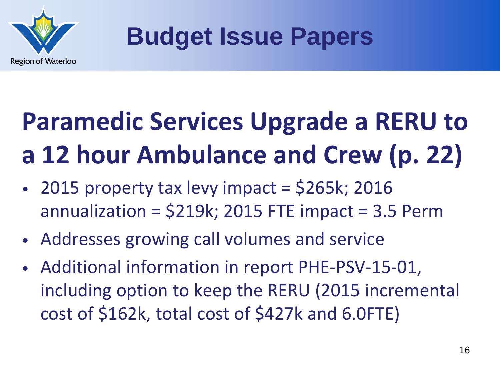

## **Paramedic Services Upgrade a RERU to a 12 hour Ambulance and Crew (p. 22)**

- 2015 property tax levy impact =  $$265k; 2016$ annualization =  $$219k$ ; 2015 FTE impact = 3.5 Perm
- Addresses growing call volumes and service
- Additional information in report PHE-PSV-15-01, including option to keep the RERU (2015 incremental cost of \$162k, total cost of \$427k and 6.0FTE)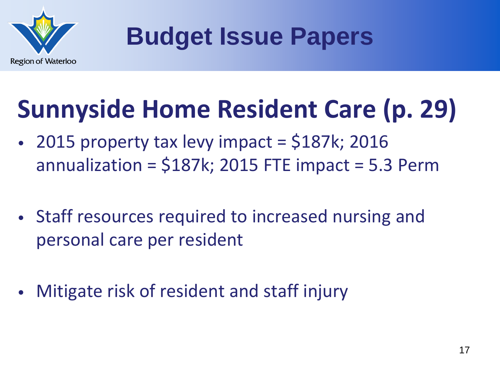

### **Sunnyside Home Resident Care (p. 29)**

- 2015 property tax levy impact  $=$  \$187k; 2016 annualization =  $$187k$ ; 2015 FTE impact = 5.3 Perm
- Staff resources required to increased nursing and personal care per resident
- Mitigate risk of resident and staff injury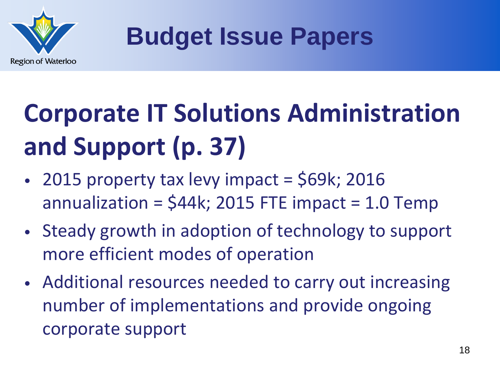

## **Corporate IT Solutions Administration and Support (p. 37)**

- 2015 property tax levy impact =  $$69k; 2016$ annualization =  $$44k; 2015$  FTE impact = 1.0 Temp
- Steady growth in adoption of technology to support more efficient modes of operation
- Additional resources needed to carry out increasing number of implementations and provide ongoing corporate support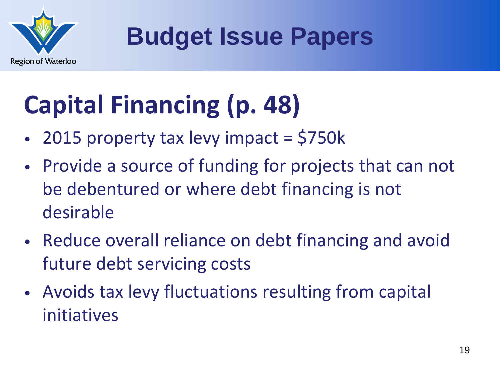

## **Capital Financing (p. 48)**

- 2015 property tax levy impact = \$750k
- Provide a source of funding for projects that can not be debentured or where debt financing is not desirable
- Reduce overall reliance on debt financing and avoid future debt servicing costs
- Avoids tax levy fluctuations resulting from capital initiatives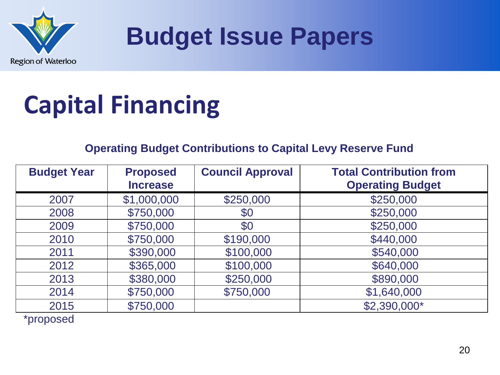

### **Capital Financing**

### **Operating Budget Contributions to Capital Levy Reserve Fund**

| <b>Budget Year</b> | <b>Proposed</b><br><b>Increase</b> | <b>Council Approval</b> | <b>Total Contribution from</b><br><b>Operating Budget</b> |
|--------------------|------------------------------------|-------------------------|-----------------------------------------------------------|
| 2007               | \$1,000,000                        | \$250,000               | \$250,000                                                 |
| 2008               | \$750,000                          | \$0                     | \$250,000                                                 |
| 2009               | \$750,000                          | \$0                     | \$250,000                                                 |
| 2010               | \$750,000                          | \$190,000               | \$440,000                                                 |
| 2011               | \$390,000                          | \$100,000               | \$540,000                                                 |
| 2012               | \$365,000                          | \$100,000               | \$640,000                                                 |
| 2013               | \$380,000                          | \$250,000               | \$890,000                                                 |
| 2014               | \$750,000                          | \$750,000               | \$1,640,000                                               |
| 2015               | \$750,000                          |                         | \$2,390,000*                                              |

\*proposed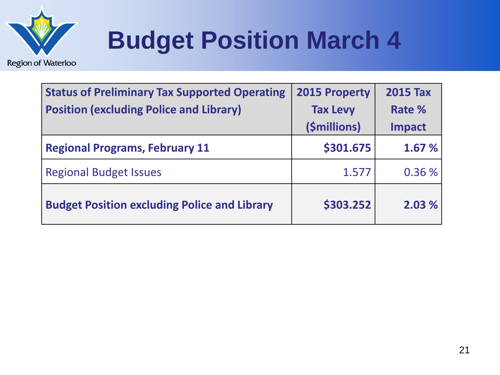

### **Budget Position March 4**

| <b>Status of Preliminary Tax Supported Operating</b><br><b>Position (excluding Police and Library)</b> | 2015 Property<br><b>Tax Levy</b><br>(\$millions) | <b>2015 Tax</b><br>Rate %<br>Impact |
|--------------------------------------------------------------------------------------------------------|--------------------------------------------------|-------------------------------------|
| <b>Regional Programs, February 11</b>                                                                  | \$301.675                                        | 1.67 %                              |
| <b>Regional Budget Issues</b>                                                                          | 1.577                                            | 0.36%                               |
| <b>Budget Position excluding Police and Library</b>                                                    | \$303.252                                        | 2.03%                               |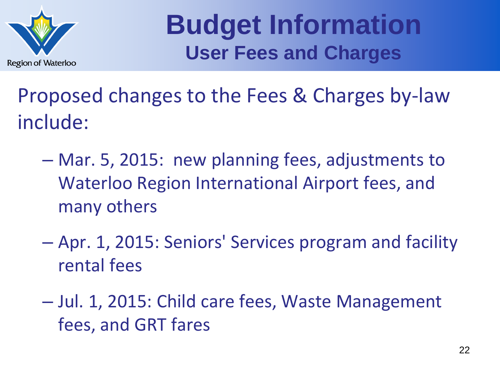

**Budget Information User Fees and Charges**

Proposed changes to the Fees & Charges by-law include:

- Mar. 5, 2015: new planning fees, adjustments to Waterloo Region International Airport fees, and many others
- Apr. 1, 2015: Seniors' Services program and facility rental fees
- Jul. 1, 2015: Child care fees, Waste Management fees, and GRT fares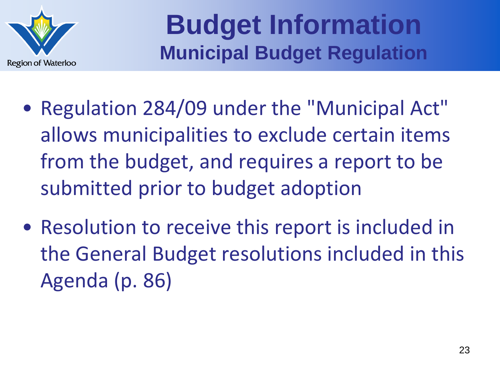

### **Budget Information Municipal Budget Regulation**

- Regulation 284/09 under the "Municipal Act" allows municipalities to exclude certain items from the budget, and requires a report to be submitted prior to budget adoption
- Resolution to receive this report is included in the General Budget resolutions included in this Agenda (p. 86)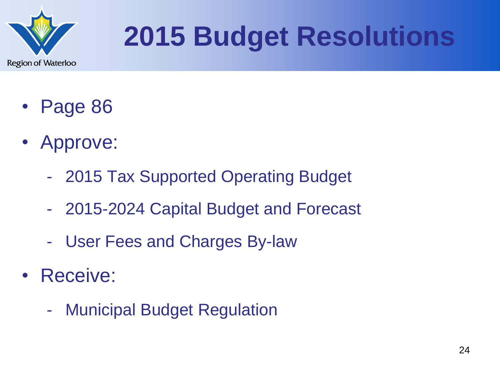

## **2015 Budget Resolutions**

- Page 86
- Approve:
	- 2015 Tax Supported Operating Budget
	- 2015-2024 Capital Budget and Forecast
	- User Fees and Charges By-law
- Receive:
	- Municipal Budget Regulation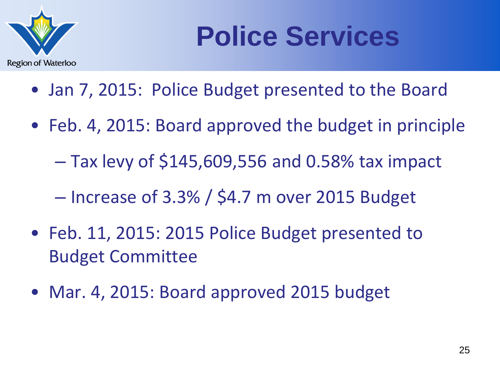

## **Police Services**

- Jan 7, 2015: Police Budget presented to the Board
- Feb. 4, 2015: Board approved the budget in principle
	- Tax levy of \$145,609,556 and 0.58% tax impact

– Increase of 3.3% / \$4.7 m over 2015 Budget

- Feb. 11, 2015: 2015 Police Budget presented to Budget Committee
- Mar. 4, 2015: Board approved 2015 budget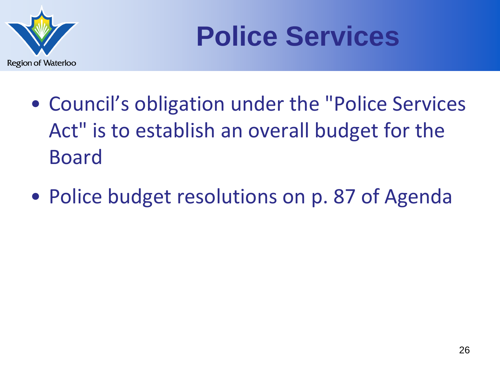

## **Police Services**

- Council's obligation under the "Police Services Act" is to establish an overall budget for the Board
- Police budget resolutions on p. 87 of Agenda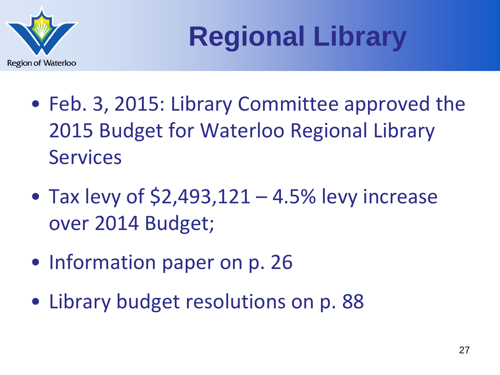

**Regional Library**

- Feb. 3, 2015: Library Committee approved the 2015 Budget for Waterloo Regional Library Services
- Tax levy of  $$2,493,121 4.5\%$  levy increase over 2014 Budget;
- Information paper on p. 26
- Library budget resolutions on p. 88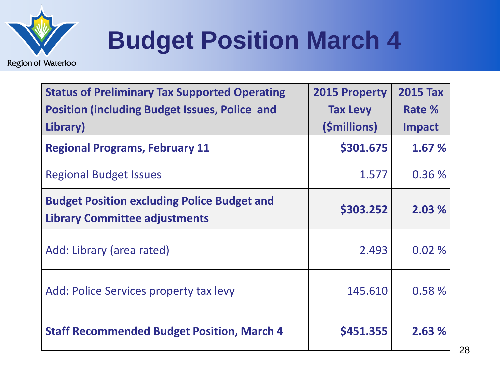

### **Budget Position March 4**

| <b>Status of Preliminary Tax Supported Operating</b><br><b>Position (including Budget Issues, Police and</b><br>Library) | <b>2015 Property</b><br><b>Tax Levy</b><br>(\$millions) | <b>2015 Tax</b><br>Rate %<br>Impact |
|--------------------------------------------------------------------------------------------------------------------------|---------------------------------------------------------|-------------------------------------|
| <b>Regional Programs, February 11</b>                                                                                    | \$301.675                                               | 1.67 %                              |
| <b>Regional Budget Issues</b>                                                                                            | 1.577                                                   | 0.36%                               |
| <b>Budget Position excluding Police Budget and</b><br><b>Library Committee adjustments</b>                               | \$303.252                                               | 2.03 %                              |
| Add: Library (area rated)                                                                                                | 2.493                                                   | 0.02%                               |
| Add: Police Services property tax levy                                                                                   | 145.610                                                 | 0.58%                               |
| <b>Staff Recommended Budget Position, March 4</b>                                                                        | \$451.355                                               | 2.63%                               |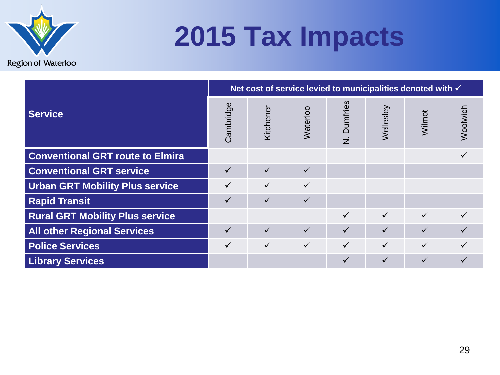

## **2015 Tax Impacts**

|                                         | Net cost of service levied to municipalities denoted with √ |              |              |              |              |              |          |
|-----------------------------------------|-------------------------------------------------------------|--------------|--------------|--------------|--------------|--------------|----------|
| <b>Service</b>                          | Cambridge                                                   | Kitchener    | Waterloo     | N. Dumfries  | Wellesley    | Wilmot       | Woolwich |
| <b>Conventional GRT route to Elmira</b> |                                                             |              |              |              |              |              |          |
| <b>Conventional GRT service</b>         | ✓                                                           | $\checkmark$ | $\checkmark$ |              |              |              |          |
| <b>Urban GRT Mobility Plus service</b>  | ✓                                                           | $\checkmark$ | $\checkmark$ |              |              |              |          |
| <b>Rapid Transit</b>                    | ✓                                                           | $\checkmark$ | $\checkmark$ |              |              |              |          |
| <b>Rural GRT Mobility Plus service</b>  |                                                             |              |              | $\checkmark$ | $\checkmark$ | $\checkmark$ |          |
| <b>All other Regional Services</b>      | $\checkmark$                                                | $\checkmark$ | $\checkmark$ | $\checkmark$ | $\checkmark$ | $\checkmark$ |          |
| <b>Police Services</b>                  | ✓                                                           | $\checkmark$ | $\checkmark$ | $\checkmark$ | $\checkmark$ | $\checkmark$ |          |
| <b>Library Services</b>                 |                                                             |              |              | ✓            | ✓            | ✓            |          |